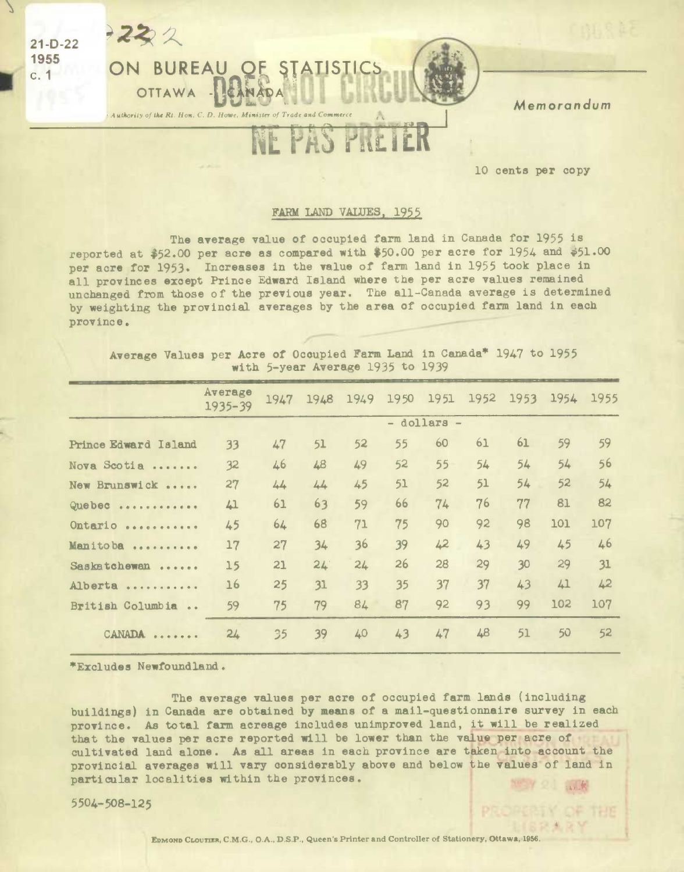

10 cents per copy

OF THE

## FARM LAND VALUES, 1955

The average value of occupied farm land in Canada for 1955 is reported at \$52.00 per acre as compared with \$50.00 per acre for 1954 and \$51.00 per acre for 1953. Increases in the value of farm land in 1955 took place in all provinces except Prince Edward Island where the per acre values remained unchanged from those of the previous year. The all-Canada average is determined by weighting the provincial averages by the area of occupied farm land in each province.

Average Values per Acre of Occupied Farm Land in Canada\* 1947 to 1955 with 5-year Average 1935 to 1939

|                            | Average<br>$1935 - 39$ | 1947 | 1948        | 1949 | 1950 | 1951 | 1952 | 1953 | 1954 | 1955 |  |
|----------------------------|------------------------|------|-------------|------|------|------|------|------|------|------|--|
|                            |                        |      | - dollars - |      |      |      |      |      |      |      |  |
| Prince Edward Island       | 33                     | 47   | 51          | 52   | 55   | 60   | 61   | 61   | 59   | 59   |  |
| Nova Scotia                | 32                     | 46   | 48          | 49   | 52   | 55   | 54   | 54   | 54   | 56   |  |
| New Brunswick              | 27                     | 44   | 44          | 45   | 51   | 52   | 51   | 54   | 52   | 54   |  |
| Quebec                     | 41                     | 61   | 63          | 59   | 66   | 74   | 76   | 77   | 81   | 82   |  |
| Ontario                    | 45                     | 64   | 68          | 71   | 75   | 90   | 92   | 98   | 101  | 107  |  |
| Manitoba                   | 17                     | 27   | 34          | 36   | 39   | 42   | 43   | 49   | 45   | 46   |  |
| Saskatchewan               | 15                     | 21   | 24.         | 24   | 26   | 28   | 29   | 30   | 29   | 31   |  |
| Alberta                    | 16                     | 25   | 31          | 33   | 35   | 37   | 37   | 43   | 41   | 42   |  |
| British Columbia<br>$\sim$ | 59                     | 75   | 79          | 84   | 87   | 92   | 93   | 99   | 102  | 107  |  |
| CANADA                     | 24                     | 35   | 39          | 40   | 43   | 47   | 48   | 51   | 50   | 52   |  |

\*Excludes Newfoundland.

The average values per acre of occupied farm lands (including buildings) in Canada are obtained by means of a mail-questionnaire survey in each province. As total farm acreage includes unimproved land, it will be realized that the values per acre reported will be lower than the value per acre of cultivated land alone. As all areas in each province are taken into account the provincial averages will vary considerably above and below the values of land in particular localities within the provinces.

5504-508-125